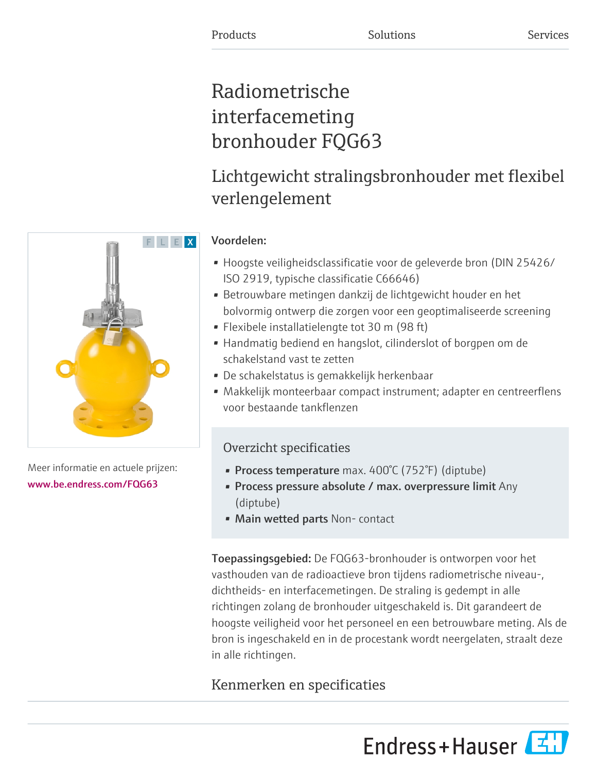# Radiometrische interfacemeting bronhouder FQG63

# Lichtgewicht stralingsbronhouder met flexibel verlengelement

# Voordelen:

- Hoogste veiligheidsclassificatie voor de geleverde bron (DIN 25426/ ISO 2919, typische classificatie C66646)
- Betrouwbare metingen dankzij de lichtgewicht houder en het bolvormig ontwerp die zorgen voor een geoptimaliseerde screening
- Flexibele installatielengte tot 30 m (98 ft)
- Handmatig bediend en hangslot, cilinderslot of borgpen om de schakelstand vast te zetten
- De schakelstatus is gemakkelijk herkenbaar
- Makkelijk monteerbaar compact instrument; adapter en centreerflens voor bestaande tankflenzen

# Overzicht specificaties

- Process temperature max. 400°C (752°F) (diptube)
- Process pressure absolute / max. overpressure limit Any (diptube)
- Main wetted parts Non-contact

Toepassingsgebied: De FQG63-bronhouder is ontworpen voor het vasthouden van de radioactieve bron tijdens radiometrische niveau-, dichtheids- en interfacemetingen. De straling is gedempt in alle richtingen zolang de bronhouder uitgeschakeld is. Dit garandeert de hoogste veiligheid voor het personeel en een betrouwbare meting. Als de bron is ingeschakeld en in de procestank wordt neergelaten, straalt deze in alle richtingen.

# Kenmerken en specificaties

Endress+Hauser



Meer informatie en actuele prijzen: [www.be.endress.com/FQG63](https://www.be.endress.com/FQG63)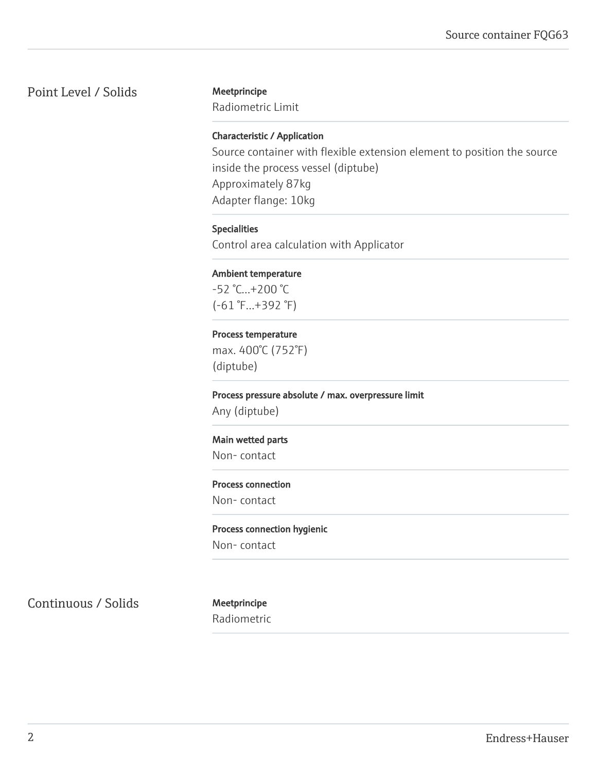# Point Level / Solids Meetprincipe

Radiometric Limit

# Characteristic / Application

Source container with flexible extension element to position the source inside the process vessel (diptube) Approximately 87kg Adapter flange: 10kg

# Specialities

Control area calculation with Applicator

# Ambient temperature

-52 °C...+200 °C (-61 °F...+392 °F)

### Process temperature

max. 400°C (752°F) (diptube)

Process pressure absolute / max. overpressure limit Any (diptube)

# Main wetted parts

Non- contact

# Process connection

Non- contact

### Process connection hygienic

Non- contact

Continuous / Solids Meetprincipe

Radiometric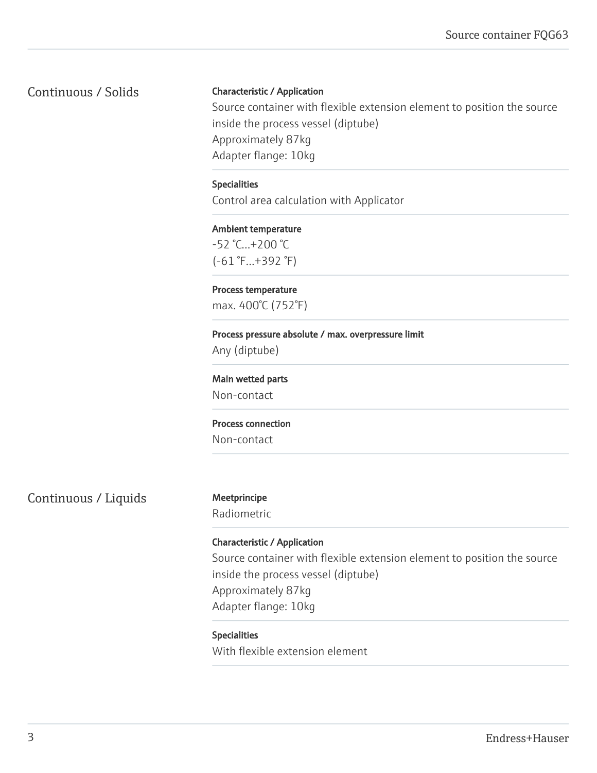Continuous / Solids

# Characteristic / Application

Source container with flexible extension element to position the source inside the process vessel (diptube) Approximately 87kg Adapter flange: 10kg

# Specialities

Control area calculation with Applicator

# Ambient temperature -52 °C...+200 °C (-61 °F...+392 °F)

Process temperature max. 400°C (752°F)

# Process pressure absolute / max. overpressure limit Any (diptube)

Main wetted parts

Non-contact

### Process connection

Non-contact

Continuous / Liquids Meetprincipe

Radiometric

# Characteristic / Application

Source container with flexible extension element to position the source inside the process vessel (diptube) Approximately 87kg Adapter flange: 10kg

### Specialities

With flexible extension element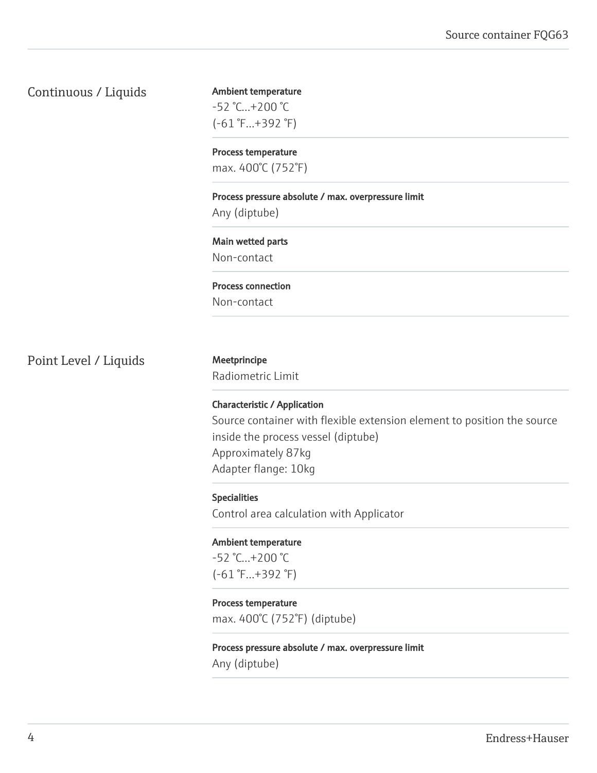# Continuous / Liquids

Ambient temperature -52 °C...+200 °C (-61 °F...+392 °F)

Process temperature max. 400°C (752°F)

Process pressure absolute / max. overpressure limit

Any (diptube)

Main wetted parts Non-contact

Process connection Non-contact

Point Level / Liquids Meetprincipe

Radiometric Limit

Characteristic / Application Source container with flexible extension element to position the source inside the process vessel (diptube) Approximately 87kg Adapter flange: 10kg

Specialities Control area calculation with Applicator

Ambient temperature -52 °C...+200 °C (-61 °F...+392 °F)

Process temperature max. 400°C (752°F) (diptube)

Process pressure absolute / max. overpressure limit Any (diptube)